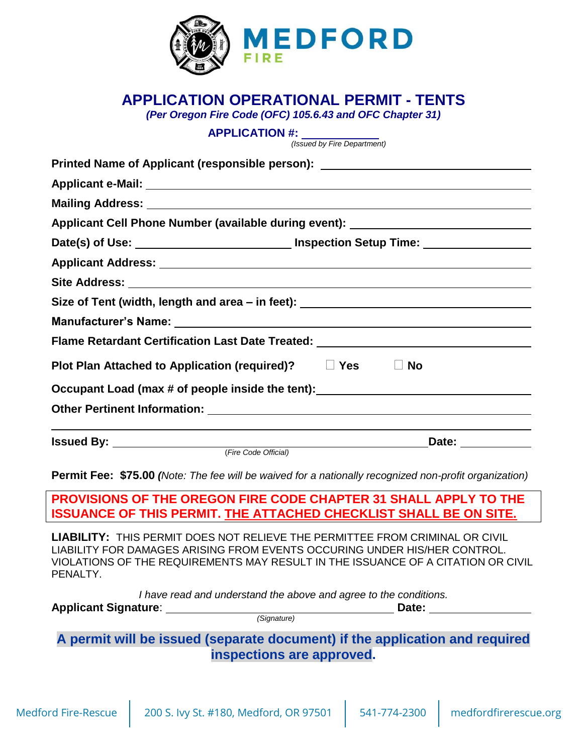

# **APPLICATION OPERATIONAL PERMIT - TENTS**

*(Per Oregon Fire Code (OFC) 105.6.43 and OFC Chapter 31)*

**APPLICATION #:**

*(Issued by Fire Department)*

|                                                                         | Printed Name of Applicant (responsible person): ________________________________                    |  |
|-------------------------------------------------------------------------|-----------------------------------------------------------------------------------------------------|--|
|                                                                         |                                                                                                     |  |
|                                                                         |                                                                                                     |  |
|                                                                         | Applicant Cell Phone Number (available during event): __________________________                    |  |
|                                                                         | Date(s) of Use: ___________________________________ Inspection Setup Time: ________________________ |  |
|                                                                         |                                                                                                     |  |
|                                                                         |                                                                                                     |  |
|                                                                         | Size of Tent (width, length and area - in feet): _______________________________                    |  |
|                                                                         |                                                                                                     |  |
|                                                                         | Flame Retardant Certification Last Date Treated: _______________________________                    |  |
| Plot Plan Attached to Application (required)? □ Yes □ No                |                                                                                                     |  |
|                                                                         | Occupant Load (max # of people inside the tent): _______________________________                    |  |
| Other Pertinent Information: Manual Community of Pertinent Information: |                                                                                                     |  |
|                                                                         |                                                                                                     |  |

(*Fire Code Official)*

**Permit Fee: \$75.00** *(Note: The fee will be waived for a nationally recognized non-profit organization)*

**PROVISIONS OF THE OREGON FIRE CODE CHAPTER 31 SHALL APPLY TO THE ISSUANCE OF THIS PERMIT. THE ATTACHED CHECKLIST SHALL BE ON SITE.**

**LIABILITY:** THIS PERMIT DOES NOT RELIEVE THE PERMITTEE FROM CRIMINAL OR CIVIL LIABILITY FOR DAMAGES ARISING FROM EVENTS OCCURING UNDER HIS/HER CONTROL. VIOLATIONS OF THE REQUIREMENTS MAY RESULT IN THE ISSUANCE OF A CITATION OR CIVIL PFNALTY.

*I have read and understand the above and agree to the conditions.*

**Applicant Signature: Date: Date: Date: Date: Date: Date: Date: Date: Date: Date: Date: Date: Date: Date: Date: Date: Date: Date: Date: Date: Date: Date: Date: Date: Date:** 

*(Signature)*

**A permit will be issued (separate document) if the application and required inspections are approved.**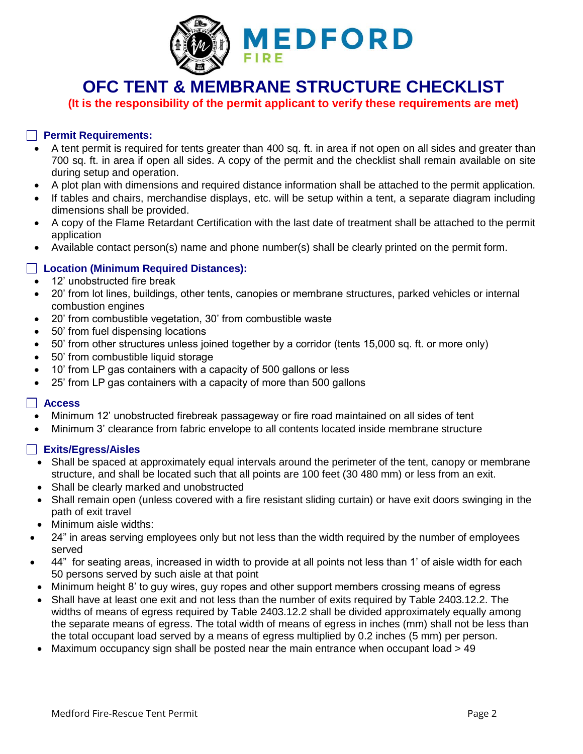

**OFC TENT & MEMBRANE STRUCTURE CHECKLIST**

**(It is the responsibility of the permit applicant to verify these requirements are met)**

## **Permit Requirements:**

- A tent permit is required for tents greater than 400 sq. ft. in area if not open on all sides and greater than 700 sq. ft. in area if open all sides. A copy of the permit and the checklist shall remain available on site during setup and operation.
- A plot plan with dimensions and required distance information shall be attached to the permit application.
- If tables and chairs, merchandise displays, etc. will be setup within a tent, a separate diagram including dimensions shall be provided.
- A copy of the Flame Retardant Certification with the last date of treatment shall be attached to the permit application
- Available contact person(s) name and phone number(s) shall be clearly printed on the permit form.

## **Location (Minimum Required Distances):**

- 12' unobstructed fire break
- 20' from lot lines, buildings, other tents, canopies or membrane structures, parked vehicles or internal combustion engines
- 20' from combustible vegetation, 30' from combustible waste
- 50' from fuel dispensing locations
- 50' from other structures unless joined together by a corridor (tents 15,000 sq. ft. or more only)
- 50' from combustible liquid storage
- 10' from LP gas containers with a capacity of 500 gallons or less
- 25' from LP gas containers with a capacity of more than 500 gallons

#### **Access**

- Minimum 12' unobstructed firebreak passageway or fire road maintained on all sides of tent
- Minimum 3' clearance from fabric envelope to all contents located inside membrane structure

## **Exits/Egress/Aisles**

- Shall be spaced at approximately equal intervals around the perimeter of the tent, canopy or membrane structure, and shall be located such that all points are 100 feet (30 480 mm) or less from an exit.
- Shall be clearly marked and unobstructed
- Shall remain open (unless covered with a fire resistant sliding curtain) or have exit doors swinging in the path of exit travel
- Minimum aisle widths:
- 24" in areas serving employees only but not less than the width required by the number of employees served
- 44" for seating areas, increased in width to provide at all points not less than 1' of aisle width for each 50 persons served by such aisle at that point
- Minimum height 8' to guy wires, guy ropes and other support members crossing means of egress
- Shall have at least one exit and not less than the number of exits required by Table 2403.12.2. The widths of means of egress required by Table 2403.12.2 shall be divided approximately equally among the separate means of egress. The total width of means of egress in inches (mm) shall not be less than the total occupant load served by a means of egress multiplied by 0.2 inches (5 mm) per person.
- $\bullet$  Maximum occupancy sign shall be posted near the main entrance when occupant load  $> 49$